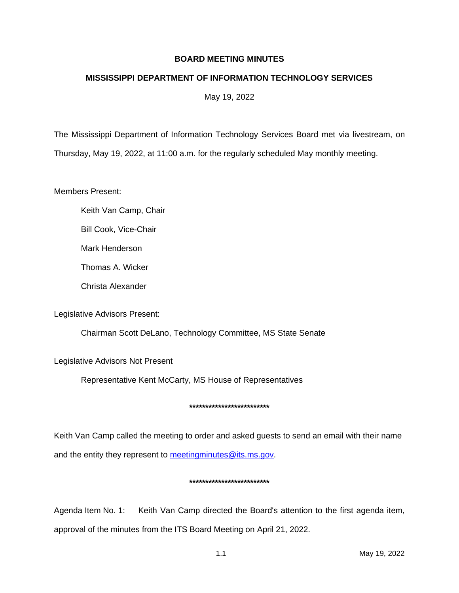# **BOARD MEETING MINUTES**

# **MISSISSIPPI DEPARTMENT OF INFORMATION TECHNOLOGY SERVICES**

May 19, 2022

The Mississippi Department of Information Technology Services Board met via livestream, on Thursday, May 19, 2022, at 11:00 a.m. for the regularly scheduled May monthly meeting.

Members Present:

Keith Van Camp, Chair

Bill Cook, Vice-Chair

Mark Henderson

Thomas A. Wicker

Christa Alexander

Legislative Advisors Present:

Chairman Scott DeLano, Technology Committee, MS State Senate

Legislative Advisors Not Present

Representative Kent McCarty, MS House of Representatives

## **\*\*\*\*\*\*\*\*\*\*\*\*\*\*\*\*\*\*\*\*\*\*\*\*\***

Keith Van Camp called the meeting to order and asked guests to send an email with their name and the entity they represent to [meetingminutes@its.ms.gov.](mailto:meetingminutes@its.ms.gov)

### **\*\*\*\*\*\*\*\*\*\*\*\*\*\*\*\*\*\*\*\*\*\*\*\*\***

Agenda Item No. 1: Keith Van Camp directed the Board's attention to the first agenda item, approval of the minutes from the ITS Board Meeting on April 21, 2022.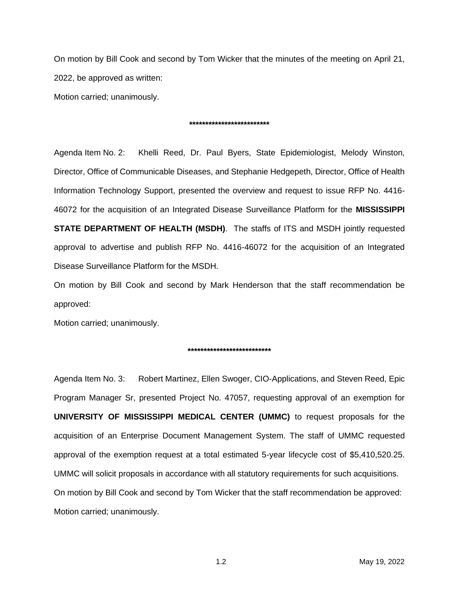On motion by Bill Cook and second by Tom Wicker that the minutes of the meeting on April 21, 2022, be approved as written:

Motion carried; unanimously.

### **\*\*\*\*\*\*\*\*\*\*\*\*\*\*\*\*\*\*\*\*\*\*\*\*\***

Agenda Item No. 2: Khelli Reed, Dr. Paul Byers, State Epidemiologist, Melody Winston, Director, Office of Communicable Diseases, and Stephanie Hedgepeth, Director, Office of Health Information Technology Support, presented the overview and request to issue RFP No. 4416- 46072 for the acquisition of an Integrated Disease Surveillance Platform for the **MISSISSIPPI STATE DEPARTMENT OF HEALTH (MSDH)**. The staffs of ITS and MSDH jointly requested approval to advertise and publish RFP No. 4416-46072 for the acquisition of an Integrated Disease Surveillance Platform for the MSDH.

On motion by Bill Cook and second by Mark Henderson that the staff recommendation be approved:

Motion carried; unanimously.

### **\*\*\*\*\*\*\*\*\*\*\*\*\*\*\*\*\*\*\*\*\*\*\*\*\*\***

Agenda Item No. 3: Robert Martinez, Ellen Swoger, CIO-Applications, and Steven Reed, Epic Program Manager Sr, presented Project No. 47057, requesting approval of an exemption for **UNIVERSITY OF MISSISSIPPI MEDICAL CENTER (UMMC)** to request proposals for the acquisition of an Enterprise Document Management System. The staff of UMMC requested approval of the exemption request at a total estimated 5-year lifecycle cost of \$5,410,520.25. UMMC will solicit proposals in accordance with all statutory requirements for such acquisitions. On motion by Bill Cook and second by Tom Wicker that the staff recommendation be approved: Motion carried; unanimously.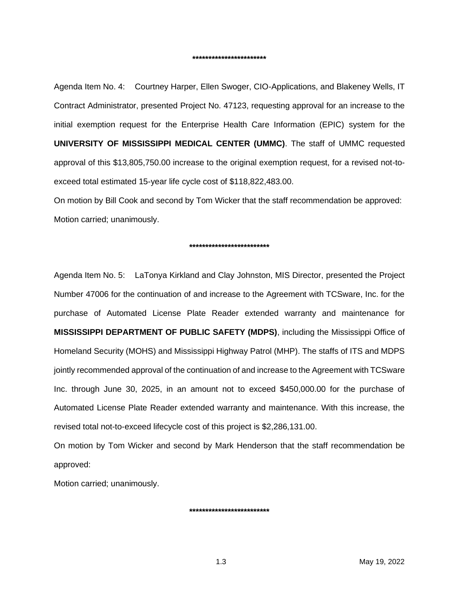Agenda Item No. 4: Courtney Harper, Ellen Swoger, CIO-Applications, and Blakeney Wells, IT Contract Administrator, presented Project No. 47123, requesting approval for an increase to the initial exemption request for the Enterprise Health Care Information (EPIC) system for the **UNIVERSITY OF MISSISSIPPI MEDICAL CENTER (UMMC)**. The staff of UMMC requested approval of this \$13,805,750.00 increase to the original exemption request, for a revised not-toexceed total estimated 15-year life cycle cost of \$118,822,483.00.

On motion by Bill Cook and second by Tom Wicker that the staff recommendation be approved: Motion carried; unanimously.

#### **\*\*\*\*\*\*\*\*\*\*\*\*\*\*\*\*\*\*\*\*\*\*\*\*\***

Agenda Item No. 5: LaTonya Kirkland and Clay Johnston, MIS Director, presented the Project Number 47006 for the continuation of and increase to the Agreement with TCSware, Inc. for the purchase of Automated License Plate Reader extended warranty and maintenance for **MISSISSIPPI DEPARTMENT OF PUBLIC SAFETY (MDPS)**, including the Mississippi Office of Homeland Security (MOHS) and Mississippi Highway Patrol (MHP). The staffs of ITS and MDPS jointly recommended approval of the continuation of and increase to the Agreement with TCSware Inc. through June 30, 2025, in an amount not to exceed \$450,000.00 for the purchase of Automated License Plate Reader extended warranty and maintenance. With this increase, the revised total not-to-exceed lifecycle cost of this project is \$2,286,131.00.

On motion by Tom Wicker and second by Mark Henderson that the staff recommendation be approved:

Motion carried; unanimously.

**\*\*\*\*\*\*\*\*\*\*\*\*\*\*\*\*\*\*\*\*\*\*\*\*\***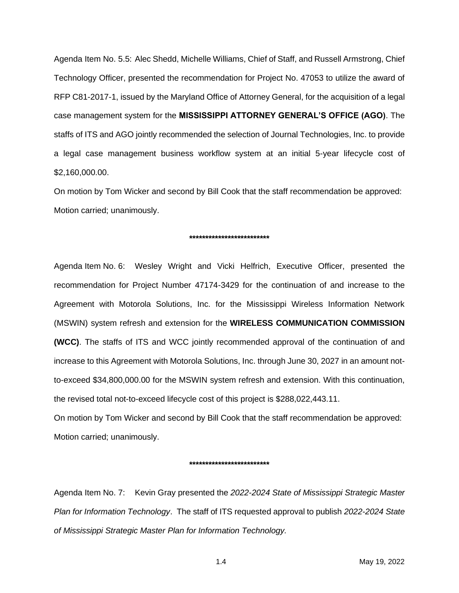Agenda Item No. 5.5: Alec Shedd, Michelle Williams, Chief of Staff, and Russell Armstrong, Chief Technology Officer, presented the recommendation for Project No. 47053 to utilize the award of RFP C81-2017-1, issued by the Maryland Office of Attorney General, for the acquisition of a legal case management system for the **MISSISSIPPI ATTORNEY GENERAL'S OFFICE (AGO)**. The staffs of ITS and AGO jointly recommended the selection of Journal Technologies, Inc. to provide a legal case management business workflow system at an initial 5-year lifecycle cost of \$2,160,000.00.

On motion by Tom Wicker and second by Bill Cook that the staff recommendation be approved: Motion carried; unanimously.

#### **\*\*\*\*\*\*\*\*\*\*\*\*\*\*\*\*\*\*\*\*\*\*\*\*\***

Agenda Item No. 6: Wesley Wright and Vicki Helfrich, Executive Officer, presented the recommendation for Project Number 47174-3429 for the continuation of and increase to the Agreement with Motorola Solutions, Inc. for the Mississippi Wireless Information Network (MSWIN) system refresh and extension for the **WIRELESS COMMUNICATION COMMISSION (WCC)**. The staffs of ITS and WCC jointly recommended approval of the continuation of and increase to this Agreement with Motorola Solutions, Inc. through June 30, 2027 in an amount notto-exceed \$34,800,000.00 for the MSWIN system refresh and extension. With this continuation, the revised total not-to-exceed lifecycle cost of this project is \$288,022,443.11.

On motion by Tom Wicker and second by Bill Cook that the staff recommendation be approved: Motion carried; unanimously.

#### **\*\*\*\*\*\*\*\*\*\*\*\*\*\*\*\*\*\*\*\*\*\*\*\*\***

Agenda Item No. 7: Kevin Gray presented the *2022-2024 State of Mississippi Strategic Master Plan for Information Technology*. The staff of ITS requested approval to publish *2022-2024 State of Mississippi Strategic Master Plan for Information Technology.*